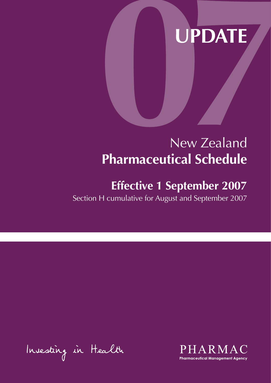# **UPDATE**

# New Zealand **Pharmaceutical Schedule**

## **Effective 1 September 2007**

Section H cumulative for August and September 2007

Insesting in Health

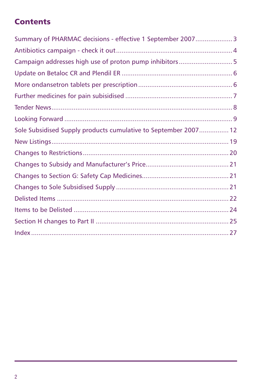### **Contents**

| Summary of PHARMAC decisions - effective 1 September 2007 3     |  |
|-----------------------------------------------------------------|--|
|                                                                 |  |
| Campaign addresses high use of proton pump inhibitors5          |  |
|                                                                 |  |
|                                                                 |  |
|                                                                 |  |
|                                                                 |  |
|                                                                 |  |
| Sole Subsidised Supply products cumulative to September 2007 12 |  |
|                                                                 |  |
|                                                                 |  |
|                                                                 |  |
|                                                                 |  |
|                                                                 |  |
|                                                                 |  |
|                                                                 |  |
|                                                                 |  |
|                                                                 |  |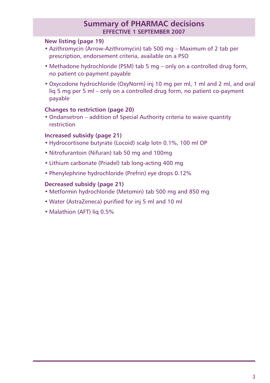#### **Summary of PHARMAC decisions effective 1 SEPTEMBER 2007**

#### **New listing (page 19)**

- Azithromycin (Arrow-Azithromycin) tab 500 mg Maximum of 2 tab per prescription, endorsement criteria, available on a PSO
- Methadone hydrochloride (PSM) tab 5 mg only on a controlled drug form, no patient co-payment payable
- Oxycodone hydrochloride (OxyNorm) inj 10 mg per ml, 1 ml and 2 ml, and oral liq 5 mg per 5 ml – only on a controlled drug form, no patient co-payment payable

#### **Changes to restriction (page 20)**

• Ondansetron – addition of Special Authority criteria to waive quantity restriction

#### **Increased subsidy (page 21)**

- Hydrocortisone butyrate (Locoid) scalp lotn 0.1%, 100 ml OP
- Nitrofurantoin (Nifuran) tab 50 mg and 100mg
- Lithium carbonate (Priadel) tab long-acting 400 mg
- Phenylephrine hydrochloride (Prefrin) eye drops 0.12%

#### **Decreased subsidy (page 21)**

- Metformin hydrochloride (Metomin) tab 500 mg and 850 mg
- Water (AstraZeneca) purified for inj 5 ml and 10 ml
- Malathion (AFT) lig 0.5%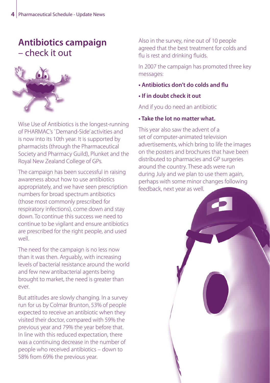### **Antibiotics campaign**  – check it out



Wise Use of Antibiotics is the longest-running of PHARMAC's `Demand-Side' activities and is now into its 10th year. It is supported by pharmacists (through the Pharmaceutical Society and Pharmacy Guild), Plunket and the Royal New Zealand College of GPs.

The campaign has been successful in raising awareness about how to use antibiotics appropriately, and we have seen prescription numbers for broad spectrum antibiotics (those most commonly prescribed for respiratory infections), come down and stay down. To continue this success we need to continue to be vigilant and ensure antibiotics are prescribed for the right people, and used well.

The need for the campaign is no less now than it was then. Arguably, with increasing levels of bacterial resistance around the world and few new antibacterial agents being brought to market, the need is greater than ever.

But attitudes are slowly changing. In a survey run for us by Colmar Brunton, 53% of people expected to receive an antibiotic when they visited their doctor, compared with 59% the previous year and 79% the year before that. In line with this reduced expectation, there was a continuing decrease in the number of people who received antibiotics – down to 58% from 69% the previous year.

Also in the survey, nine out of 10 people agreed that the best treatment for colds and flu is rest and drinking fluids.

In 2007 the campaign has promoted three key messages:

- **Antibiotics don't do colds and flu**
- **If in doubt check it out**

And if you do need an antibiotic

#### **• Take the lot no matter what.**

This year also saw the advent of a set of computer-animated television advertisements, which bring to life the images on the posters and brochures that have been distributed to pharmacies and GP surgeries around the country. These ads were run during July and we plan to use them again, perhaps with some minor changes following feedback, next year as well.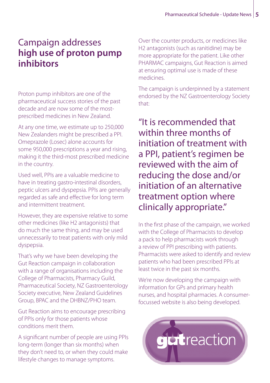### Campaign addresses **high use of proton pump inhibitors**

Proton pump inhibitors are one of the pharmaceutical success stories of the past decade and are now some of the mostprescribed medicines in New Zealand.

At any one time, we estimate up to 250,000 New Zealanders might be prescribed a PPI. Omeprazole (Losec) alone accounts for some 950,000 prescriptions a year and rising, making it the third-most prescribed medicine in the country.

Used well, PPIs are a valuable medicine to have in treating gastro-intestinal disorders, peptic ulcers and dyspepsia. PPIs are generally regarded as safe and effective for long term and intermittent treatment.

However, they are expensive relative to some other medicines (like H2 antagonists) that do much the same thing, and may be used unnecessarily to treat patients with only mild dyspepsia.

That's why we have been developing the Gut Reaction campaign in collaboration with a range of organisations including the College of Pharmacists, Pharmacy Guild, Pharmaceutical Society, NZ Gastroenterology Society executive, New Zealand Guidelines Group, BPAC and the DHBNZ/PHO team.

Gut Reaction aims to encourage prescribing of PPIs only for those patients whose conditions merit them.

A significant number of people are using PPIs long-term (longer than six months) when they don't need to, or when they could make lifestyle changes to manage symptoms.

Over the counter products, or medicines like H2 antagonists (such as ranitidine) may be more appropriate for the patient. Like other PHARMAC campaigns, Gut Reaction is aimed at ensuring optimal use is made of these medicines.

The campaign is underpinned by a statement endorsed by the NZ Gastroenterology Society that:

"It is recommended that within three months of initiation of treatment with a PPI, patient's regimen be reviewed with the aim of reducing the dose and/or initiation of an alternative treatment option where clinically appropriate.''

In the first phase of the campaign, we worked with the College of Pharmacists to develop a pack to help pharmacists work through a review of PPI prescribing with patients. Pharmacists were asked to identify and review patients who had been prescribed PPIs at least twice in the past six months.

We're now developing the campaign with information for GPs and primary health nurses, and hospital pharmacies. A consumerfocussed website is also being developed.

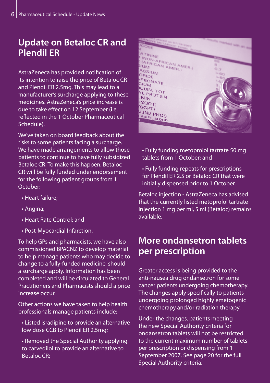### **Update on Betaloc CR and Plendil ER**

AstraZeneca has provided notification of its intention to raise the price of Betaloc CR and Plendil ER 2.5mg. This may lead to a manufacturer's surcharge applying to these medicines. AstraZeneca's price increase is due to take effect on 12 September (i.e. reflected in the 1 October Pharmaceutical Schedule).

We've taken on board feedback about the risks to some patients facing a surcharge. We have made arrangements to allow those patients to continue to have fully subsidized Betaloc CR. To make this happen, Betaloc CR will be fully funded under endorsement for the following patient groups from 1 October:

- Heart failure;
- Angina;
- Heart Rate Control; and
- Post-Myocardial Infarction.

To help GPs and pharmacists, we have also commissioned BPACNZ to develop material to help manage patients who may decide to change to a fully-funded medicine, should a surcharge apply. Information has been completed and will be circulated to General Practitioners and Pharmacists should a price increase occur.

Other actions we have taken to help health professionals manage patients include:

- Listed isradipine to provide an alternative low dose CCB to Plendil ER 2.5mg;
- Removed the Special Authority applying to carvedilol to provide an alternative to Betaloc CR;



• Fully funding metoprolol tartrate 50 mg tablets from 1 October; and

• Fully funding repeats for prescriptions for Plendil ER 2.5 or Betaloc CR that were initially dispensed prior to 1 October.

Betaloc injection - AstraZeneca has advised that the currently listed metoprolol tartrate injection 1 mg per ml, 5 ml (Betaloc) remains available.

### **More ondansetron tablets per prescription**

Greater access is being provided to the anti-nausea drug ondansetron for some cancer patients undergoing chemotherapy. The changes apply specifically to patients undergoing prolonged highly emetogenic chemotherapy and/or radiation therapy.

Under the changes, patients meeting the new Special Authority criteria for ondansetron tablets will not be restricted to the current maximum number of tablets per prescription or dispensing from 1 September 2007. See page 20 for the full Special Authority criteria.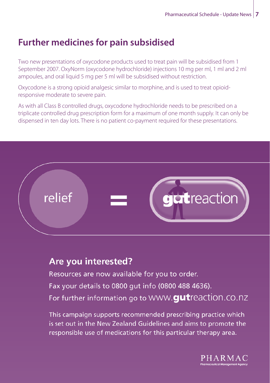### **Further medicines for pain subsidised**

Two new presentations of oxycodone products used to treat pain will be subsidised from 1 September 2007. OxyNorm (oxycodone hydrochloride) injections 10 mg per ml, 1 ml and 2 ml ampoules, and oral liquid 5 mg per 5 ml will be subsidised without restriction.

Oxycodone is a strong opioid analgesic similar to morphine, and is used to treat opioidresponsive moderate to severe pain.

As with all Class B controlled drugs, oxycodone hydrochloride needs to be prescribed on a triplicate controlled drug prescription form for a maximum of one month supply. It can only be dispensed in ten day lots. There is no patient co-payment required for these presentations.



### Are you interested?

Resources are now available for you to order. Fax your details to 0800 gut info (0800 488 4636). For further information go to WWW.**qut**reaction.co.nz

This campaign supports recommended prescribing practice which is set out in the New Zealand Guidelines and aims to promote the responsible use of medications for this particular therapy area.

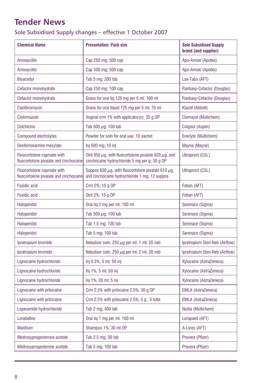### <span id="page-7-0"></span>**Tender News**

Sole Subsidised Supply changes – effective 1 October 2007

| <b>Chemical Name</b>                                                  | <b>Presentation; Pack size</b>                                                                                  | <b>Sole Subsidised Supply</b><br>brand (and supplier) |
|-----------------------------------------------------------------------|-----------------------------------------------------------------------------------------------------------------|-------------------------------------------------------|
| Amoxycillin                                                           | Cap 250 mg; 500 cap                                                                                             | Apo-Amoxi (Apotex)                                    |
| Amoxycillin                                                           | Cap 500 mg; 500 cap                                                                                             | Apo-Amoxi (Apotex)                                    |
| Bisacodyl                                                             | Tab 5 mg; 200 tab                                                                                               | Lax-Tabs (AFT)                                        |
| Cefaclor monohydrate                                                  | Cap 250 mg; 100 cap                                                                                             | Ranbaxy-Cefaclor (Douglas)                            |
| Cefaclor monohydrate                                                  | Grans for oral lig 125 mg per 5 ml; 100 ml                                                                      | Ranbaxy-Cefaclor (Douglas)                            |
| Clarithromycin                                                        | Grans for oral liquid 125 mg per 5 ml; 70 ml                                                                    | Klacid (Abbott)                                       |
| Clotrimazole                                                          | Vaginal crm 1% with applicator(s); 35 g OP                                                                      | Clomazol (Multichem)                                  |
| <b>Colchicine</b>                                                     | Tab 500 $\mu$ g; 100 tab                                                                                        | Colgout (Aspen)                                       |
| <b>Compound electrolytes</b>                                          | Powder for soln for oral use; 10 sachet                                                                         | Enerlyte (Multichem)                                  |
| Desferrioxamine mesylate                                              | Inj 500 mg; 10 inj                                                                                              | Mayne (Mayne)                                         |
| Fluocortolone caproate with<br>fluocortolone pivalate and cinchocaine | Oint 950 $\mu$ g, with fluocortolone pivalate 920 $\mu$ g, and<br>cinchocaine hydrochloride 5 mg per g; 30 g OP | <b>Ultraproct (CSL)</b>                               |
| Fluocortolone caproate with<br>fluocortolone pivalate and cinchocaine | Suppos 630 $\mu$ g, with fluocortolone pivalate 610 $\mu$ g,<br>and cinchocaine hydrochloride 1 mg; 12 suppos   | Ultraproct (CSL)                                      |
| <b>Fusidic acid</b>                                                   | Crm 2%; 15 g OP                                                                                                 | Foban (AFT)                                           |
| Fusidic acid                                                          | Oint 2%; 15 g OP                                                                                                | Foban (AFT)                                           |
| Haloperidol                                                           | Oral lig 2 mg per ml; 100 ml                                                                                    | Serenace (Sigma)                                      |
| Haloperidol                                                           | Tab 500 $\mu$ g; 100 tab                                                                                        | Serenace (Sigma)                                      |
| Haloperidol                                                           | Tab 1.5 mg; 100 tab                                                                                             | Serenace (Sigma)                                      |
| Haloperidol                                                           | Tab 5 mg; 100 tab                                                                                               | Serenace (Sigma)                                      |
| Ipratropium bromide                                                   | Nebuliser soln, 250 $\mu$ g per ml, 1 ml; 20 neb                                                                | Ipratropium Steri-Neb (Airflow)                       |
| Ipratropium bromide                                                   | Nebuliser soln, 250 $\mu$ g per ml, 2 ml; 20 neb                                                                | Ipratropium Steri-Neb (Airflow)                       |
| Lignocaine hydrochloride                                              | Inj 0.5%, 5 ml; 50 inj                                                                                          | Xylocaine (AstraZeneca)                               |
| Lignocaine hydrochloride                                              | lnj 1%, 5 ml; 50 inj                                                                                            | Xylocaine (AstraZeneca)                               |
| Lignocaine hydrochloride                                              | Inj 1%, 20 ml; 5 inj                                                                                            | Xylocaine (AstraZeneca)                               |
| Lignocaine with prilocaine                                            | Crm 2.5% with prilocaine 2.5%; 30 g OP                                                                          | <b>EMLA (AstraZeneca)</b>                             |
| Lignocaine with prilocaine                                            | Crm 2.5% with prilocaine $2.5%$ , 5 g; 5 tube                                                                   | <b>EMLA (AstraZeneca)</b>                             |
| Loperamide hydrochloride                                              | Tab 2 mg; 400 tab                                                                                               | Nodia (Multichem)                                     |
| Loratadine                                                            | Oral lig 1 mg per ml, 100 ml                                                                                    | Lorapaed (AFT)                                        |
| <b>Maldison</b>                                                       | Shampoo 1%; 30 ml OP                                                                                            | A-Lices (AFT)                                         |
| Medroxyprogesterone acetate                                           | Tab 2.5 mg; 30 tab                                                                                              | Provera (Pfizer)                                      |
| Medroxyprogesterone acetate                                           | Tab 5 mg; 100 tab                                                                                               | Provera (Pfizer)                                      |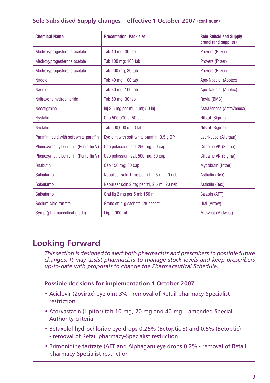#### <span id="page-8-0"></span>**Sole Subsidised Supply changes – effective 1 October 2007 (continued)**

| <b>Chemical Name</b>                     | <b>Presentation: Pack size</b>              | <b>Sole Subsidised Supply</b><br>brand (and supplier) |
|------------------------------------------|---------------------------------------------|-------------------------------------------------------|
| Medroxyprogesterone acetate              | Tab 10 mg; 30 tab                           | Provera (Pfizer)                                      |
| Medroxyprogesterone acetate              | Tab 100 mg: 100 tab                         | Provera (Pfizer)                                      |
| Medroxyprogesterone acetate              | Tab 200 mg; 30 tab                          | Provera (Pfizer)                                      |
| Nadolol                                  | Tab 40 mg; 100 tab                          | Apo-Nadolol (Apotex)                                  |
| Nadolol                                  | Tab 80 mg; 100 tab                          | Apo-Nadolol (Apotex)                                  |
| Naltrexone hydrochloride                 | Tab 50 mg; 30 tab                           | ReVia (BMS)                                           |
| Neostigmine                              | Inj 2.5 mg per ml, 1 ml; 50 inj             | AstraZeneca (AstraZeneca)                             |
| <b>Nystatin</b>                          | Cap 500,000 u; 50 cap                       | Nilstat (Sigma)                                       |
| <b>Nystatin</b>                          | Tab 500,000 u; 50 tab                       | Nilstat (Sigma)                                       |
| Paraffin liquid with soft white paraffin | Eye oint with soft white paraffin; 3.5 g OP | Lacri-Lube (Allergan)                                 |
| Phenoxymethylpenicillin (Penicillin V)   | Cap potassium salt 250 mg; 50 cap           | Cilicaine VK (Sigma)                                  |
| Phenoxymethylpenicillin (Penicillin V)   | Cap potassium salt 500 mg; 50 cap           | Cilicaine VK (Sigma)                                  |
| Rifabutin                                | Cap 150 mg; 30 cap                          | Mycobutin (Pfizer)                                    |
| Salbutamol                               | Nebuliser soln 1 mg per ml, 2.5 ml; 20 neb  | Asthalin (Rex)                                        |
| Salbutamol                               | Nebuliser soln 2 mg per ml, 2.5 ml; 20 neb  | Asthalin (Rex)                                        |
| Salbutamol                               | Oral lig 2 mg per 5 ml; 150 ml              | Salapin (AFT)                                         |
| Sodium citro-tartrate                    | Grans eff 4 g sachets; 28 sachet            | Ural (Arrow)                                          |
| Syrup (pharmaceutical grade)             | Lig: 2,000 ml                               | Midwest (Midwest)                                     |

### **Looking Forward**

*This section is designed to alert both pharmacists and prescribers to possible future changes. It may assist pharmacists to manage stock levels and keep prescribers up-to-date with proposals to change the Pharmaceutical Schedule.*

#### **Possible decisions for implementation 1 October 2007**

- Aciclovir (Zovirax) eye oint 3% removal of Retail pharmacy-Specialist restriction
- Atorvastatin (Lipitor) tab 10 mg, 20 mg and 40 mg amended Special Authority criteria
- Betaxolol hydrochloride eye drops 0.25% (Betoptic S) and 0.5% (Betoptic) - removal of Retail pharmacy-Specialist restriction
- Brimonidine tartrate (AFT and Alphagan) eye drops 0.2% removal of Retail pharmacy-Specialist restriction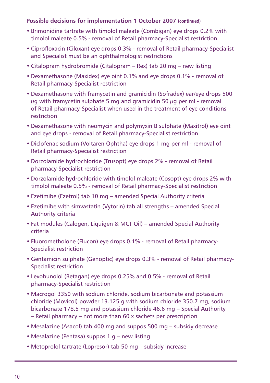#### **Possible decisions for implementation 1 October 2007 (continued)**

- Brimonidine tartrate with timolol maleate (Combigan) eye drops 0.2% with timolol maleate 0.5% - removal of Retail pharmacy-Specialist restriction
- Ciprofloxacin (Ciloxan) eye drops 0.3% removal of Retail pharmacy-Specialist and Specialist must be an ophthalmologist restrictions
- Citalopram hydrobromide (Citalopram Rex) tab 20 mg new listing
- Dexamethasone (Maxidex) eye oint 0.1% and eye drops 0.1% removal of Retail pharmacy-Specialist restriction
- Dexamethasone with framycetin and gramicidin (Sofradex) ear/eye drops 500  $\mu$ g with framycetin sulphate 5 mg and gramicidin 50  $\mu$ g per ml - removal of Retail pharmacy-Specialist when used in the treatment of eye conditions restriction
- Dexamethasone with neomycin and polymyxin B sulphate (Maxitrol) eye oint and eye drops - removal of Retail pharmacy-Specialist restriction
- Diclofenac sodium (Voltaren Ophtha) eye drops 1 mg per ml removal of Retail pharmacy-Specialist restriction
- Dorzolamide hydrochloride (Trusopt) eye drops 2% removal of Retail pharmacy-Specialist restriction
- Dorzolamide hydrochloride with timolol maleate (Cosopt) eye drops 2% with timolol maleate 0.5% - removal of Retail pharmacy-Specialist restriction
- Ezetimibe (Ezetrol) tab 10 mg amended Special Authority criteria
- Ezetimibe with simvastatin (Vytorin) tab all strengths amended Special Authority criteria
- Fat modules (Calogen, Liquigen & MCT Oil) amended Special Authority criteria
- Fluorometholone (Flucon) eye drops 0.1% removal of Retail pharmacy-Specialist restriction
- Gentamicin sulphate (Genoptic) eye drops 0.3% removal of Retail pharmacy-Specialist restriction
- Levobunolol (Betagan) eye drops 0.25% and 0.5% removal of Retail pharmacy-Specialist restriction
- Macrogol 3350 with sodium chloride, sodium bicarbonate and potassium chloride (Movicol) powder 13.125 g with sodium chloride 350.7 mg, sodium bicarbonate 178.5 mg and potassium chloride 46.6 mg – Special Authority – Retail pharmacy – not more than 60 x sachets per prescription
- Mesalazine (Asacol) tab 400 mg and suppos 500 mg subsidy decrease
- Mesalazine (Pentasa) suppos 1 g new listing
- Metoprolol tartrate (Lopresor) tab 50 mg subsidy increase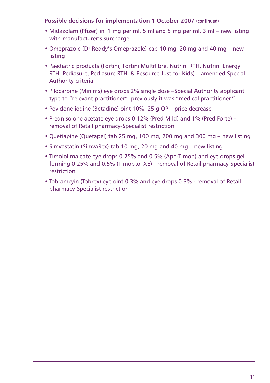#### **Possible decisions for implementation 1 October 2007 (continued)**

- Midazolam (Pfizer) inj 1 mg per ml, 5 ml and 5 mg per ml, 3 ml new listing with manufacturer's surcharge
- Omeprazole (Dr Reddy's Omeprazole) cap 10 mg, 20 mg and 40 mg new listing
- Paediatric products (Fortini, Fortini Multifibre, Nutrini RTH, Nutrini Energy RTH, Pediasure, Pediasure RTH, & Resource Just for Kids) – amended Special Authority criteria
- Pilocarpine (Minims) eye drops 2% single dose –Special Authority applicant type to "relevant practitioner" previously it was "medical practitioner."
- Povidone iodine (Betadine) oint 10%, 25 g OP price decrease
- Prednisolone acetate eye drops 0.12% (Pred Mild) and 1% (Pred Forte) removal of Retail pharmacy-Specialist restriction
- Quetiapine (Quetapel) tab 25 mg, 100 mg, 200 mg and 300 mg new listing
- Simvastatin (SimvaRex) tab 10 mg, 20 mg and 40 mg new listing
- Timolol maleate eye drops 0.25% and 0.5% (Apo-Timop) and eye drops gel forming 0.25% and 0.5% (Timoptol XE) - removal of Retail pharmacy-Specialist restriction
- Tobramcyin (Tobrex) eye oint 0.3% and eye drops 0.3% removal of Retail pharmacy-Specialist restriction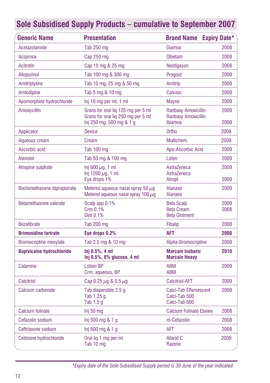<span id="page-11-0"></span>

| <b>Generic Name</b>              | <b>Presentation</b>                                                                                  | <b>Brand Name Expiry Date*</b>                                 |              |
|----------------------------------|------------------------------------------------------------------------------------------------------|----------------------------------------------------------------|--------------|
| Acetazolamide                    | Tab 250 mg                                                                                           | <b>Diamox</b>                                                  | 2008         |
| <b>Acipimox</b>                  | Cap 250 mg                                                                                           | Olbetam                                                        | 2008         |
| Acitretin                        | Cap 10 mg & 25 mg                                                                                    | Neotigason                                                     | 2008         |
| Allopurinol                      | Tab 100 mg & 300 mg                                                                                  | Progout                                                        | 2008         |
| Amitriptyline                    | Tab 10 mg, 25 mg & 50 mg                                                                             | Amitrip                                                        | 2008         |
| Amlodipine                       | Tab 5 mg & 10 mg                                                                                     | Calvasc                                                        | 2008         |
| Apomorphine hydrochloride        | Inj 10 mg per ml, 1 ml                                                                               | <b>Mayne</b>                                                   | 2009         |
| Amoxycillin                      | Grans for oral lig 125 mg per 5 ml<br>Grans for oral liq 250 mg per 5 ml<br>Inj 250 mg, 500 mg & 1 g | Ranbaxy Amoxicillin<br>Ranbaxy Amoxicillin<br><b>Ibiamox</b>   | 2009<br>2008 |
| Applicator                       | <b>Device</b>                                                                                        | Ortho                                                          | 2008         |
| Aqueous cream                    | Cream                                                                                                | <b>Multichem</b>                                               | 2008         |
| Ascorbic acid                    | Tab 100 mg                                                                                           | Apo-Ascorbic Acid                                              | 2009         |
| Atenolol                         | Tab 50 mg & 100 mg                                                                                   | Loten                                                          | 2009         |
| Atropine sulphate                | Inj 600 $\mu$ q, 1 ml<br>Inj 1200 $\mu$ g, 1 ml<br>Eye drops 1%                                      | AstraZeneca<br>AstraZeneca<br>Atropt                           | 2009<br>2008 |
| Beclomethasone dipropionate      | Metered aqueous nasal spray 50 $\mu$ q<br>Metered aqueous nasal spray 100 $\mu$ g                    | <b>Alanase</b><br>Alanase                                      | 2009         |
| Betamethasone valerate           | Scalp app 0.1%<br>Crm 0.1%<br>Oint 0.1%                                                              | <b>Beta Scalp</b><br><b>Beta Cream</b><br><b>Beta Ointment</b> | 2009<br>2008 |
| <b>Bezafibrate</b>               | Tab 200 mg                                                                                           | <b>Fibalip</b>                                                 | 2008         |
| <b>Brimonidine tartrate</b>      | Eye drops 0.2%                                                                                       | <b>AFT</b>                                                     | 2008         |
| <b>Bromocriptine mesylate</b>    | Tab 2.5 mg & 10 mg                                                                                   | Alpha-Bromocriptine                                            | 2008         |
| <b>Bupivicaine hydrochloride</b> | Ini 0.5%, 4 ml<br>Inj 0.5%, 8% glucose, 4 ml                                                         | <b>Marcain Isobaric</b><br><b>Marcain Heavy</b>                | 2010         |
| Calamine                         | <b>Lotion BP</b><br>Crm, aqueous, BP                                                                 | <b>ABM</b><br><b>ABM</b>                                       | 2009         |
| Calcitriol                       | Cap 0.25 $\mu$ g & 0.5 $\mu$ g                                                                       | <b>Calcitriol-AFT</b>                                          | 2009         |
| Calcium carbonate                | Tab dispersible 2.5 g<br>Tab 1.25 g<br>Tab 1.5 g                                                     | Calci-Tab Effervescent<br>Calci-Tab 500<br>Calci-Tab 600       | 2008         |
| Calcium folinate                 | Inj 50 mg                                                                                            | <b>Calcium Folinate Ebewe</b>                                  | 2008         |
| Cefazolin sodium                 | Inj 500 mg & 1 g                                                                                     | m-Cefazolin                                                    | 2008         |
| Ceftriaxone sodium               | Inj 500 mg $& 1 g$                                                                                   | <b>AFT</b>                                                     | 2008         |
| Cetirizine hydrochloride         | Oral lig 1 mg per ml<br>Tab 10 mg                                                                    | <b>Allerid C</b><br>Razene                                     | 2008         |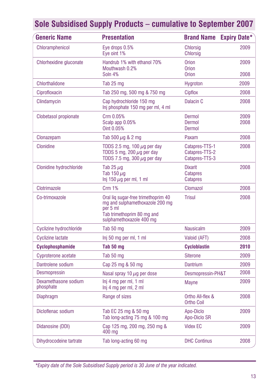| <b>Generic Name</b>               | <b>Presentation</b>                                                                                                                          | <b>Brand Name</b>                                    | <b>Expiry Date*</b> |
|-----------------------------------|----------------------------------------------------------------------------------------------------------------------------------------------|------------------------------------------------------|---------------------|
| Chloramphenicol                   | Eye drops 0.5%<br>Eye oint 1%                                                                                                                | <b>Chlorsig</b><br><b>Chlorsig</b>                   | 2009                |
| Chlorhexidine gluconate           | Handrub 1% with ethanol 70%<br>Mouthwash 0.2%<br>Soln 4%                                                                                     | <b>Orion</b><br><b>Orion</b>                         | 2009                |
|                                   |                                                                                                                                              | <b>Orion</b>                                         | 2008                |
| <b>Chlorthalidone</b>             | Tab 25 mg                                                                                                                                    | Hygroton                                             | 2009                |
| Ciprofloxacin<br>Clindamycin      | Tab 250 mg, 500 mg & 750 mg<br>Cap hydrochloride 150 mg<br>Inj phosphate 150 mg per ml, 4 ml                                                 | Cipflox<br>Dalacin C                                 | 2008<br>2008        |
| Clobetasol propionate             | Crm 0.05%<br>Scalp app 0.05%<br>Oint 0.05%                                                                                                   | Dermol<br>Dermol<br>Dermol                           | 2009<br>2008        |
| Clonazepam                        | Tab 500 $\mu$ g & 2 mg                                                                                                                       | Paxam                                                | 2008                |
| Clonidine                         | TDDS 2.5 mg, 100 $\mu$ g per day<br>TDDS 5 mg, 200 $\mu$ g per day<br>TDDS 7.5 mg, 300 $\mu$ g per day                                       | Catapres-TTS-1<br>Catapres-TTS-2<br>Catapres-TTS-3   | 2008                |
| Clonidine hydrochloride           | Tab 25 $\mu$ g<br>Tab 150 µg<br>Inj 150 $\mu$ g per ml, 1 ml                                                                                 | <b>Dixarit</b><br><b>Catapres</b><br><b>Catapres</b> | 2008                |
| Clotrimazole                      | <b>Crm 1%</b>                                                                                                                                | Clomazol                                             | 2008                |
| Co-trimoxazole                    | Oral lig sugar-free trimethoprim 40<br>mg and sulphamethoxazole 200 mg<br>per 5 ml<br>Tab trimethoprim 80 mg and<br>sulphamethoxazole 400 mg | Trisul                                               | 2008                |
| <b>Cyclizine hydrochloride</b>    | Tab 50 mg                                                                                                                                    | <b>Nausicalm</b>                                     | 2009                |
| <b>Cyclizine lactate</b>          | Inj 50 mg per ml, 1 ml                                                                                                                       | Valoid (AFT)                                         | 2008                |
| Cyclophosphamide                  | Tab 50 mg                                                                                                                                    | <b>Cycloblastin</b>                                  | 2010                |
| Cyproterone acetate               | Tab 50 mg                                                                                                                                    | <b>Siterone</b>                                      | 2009                |
| Dantrolene sodium                 | Cap 25 mg & 50 mg                                                                                                                            | Dantrium                                             | 2009                |
| <b>Desmopressin</b>               | Nasal spray 10 $\mu$ g per dose                                                                                                              | Desmopressin-PH&T                                    | 2008                |
| Dexamethasone sodium<br>phosphate | Inj 4 mg per ml, 1 ml<br>Inj 4 mg per ml, 2 ml                                                                                               | Mayne                                                | 2009                |
| <b>Diaphragm</b>                  | Range of sizes                                                                                                                               | Ortho All-flex &<br><b>Ortho Coil</b>                | 2008                |
| Dicloflenac sodium                | Tab EC 25 mg & 50 mg<br>Tab long-acting 75 mg & 100 mg                                                                                       | Apo-Diclo<br>Apo-Diclo SR                            | 2009                |
| Didanosine (DDI)                  | Cap 125 mg, 200 mg, 250 mg &<br>400 mg                                                                                                       | <b>Videx EC</b>                                      | 2009                |
| Dihydrocodeine tartrate           | Tab long-acting 60 mg                                                                                                                        | <b>DHC Continus</b>                                  | 2008                |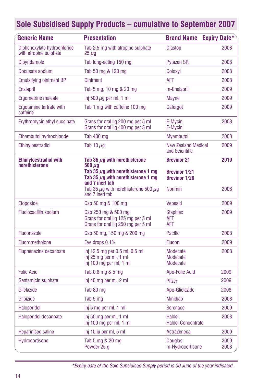| <b>Generic Name</b>                                   | <b>Presentation</b>                                                                              | <b>Brand Name Expiry Date*</b>               |              |
|-------------------------------------------------------|--------------------------------------------------------------------------------------------------|----------------------------------------------|--------------|
| Diphenoxylate hydrochloride<br>with atropine sulphate | Tab 2.5 mg with atropine sulphate<br>$25 \,\mu g$                                                | <b>Diastop</b>                               | 2008         |
| <b>Dipyridamole</b>                                   | Tab long-acting 150 mg                                                                           | <b>Pytazen SR</b>                            | 2008         |
| Docusate sodium                                       | Tab 50 mg & 120 mg                                                                               | Coloxyl                                      | 2008         |
| <b>Emulsifying ointment BP</b>                        | <b>Ointment</b>                                                                                  | <b>AFT</b>                                   | 2008         |
| <b>Enalapril</b>                                      | Tab 5 mg, 10 mg & 20 mg                                                                          | m-Enalapril                                  | 2009         |
| Ergometrine maleate                                   | Inj 500 $\mu$ g per ml, 1 ml                                                                     | <b>Mayne</b>                                 | 2009         |
| Ergotamine tartrate with<br>caffeine                  | Tab 1 mg with caffeine 100 mg                                                                    | Cafergot                                     | 2009         |
| Erythromycin ethyl succinate                          | Grans for oral lig 200 mg per 5 ml<br>Grans for oral lig 400 mg per 5 ml                         | E-Mycin<br>E-Mycin                           | 2008         |
| Ethambutol hydrochloride                              | Tab 400 mg                                                                                       | <b>Mvambutol</b>                             | 2008         |
| Ethinyloestradiol                                     | Tab 10 $\mu$ g                                                                                   | <b>New Zealand Medical</b><br>and Scientific | 2009         |
| <b>Ethinyloestradiol with</b><br>norethisterone       | Tab 35 $\mu$ g with norethisterone<br>$500 \ \mu$ g                                              | <b>Brevinor 21</b>                           | 2010         |
|                                                       | Tab 35 $\mu$ g with norethisterone 1 mg<br>Tab 35 ug with norethisterone 1 mg<br>and 7 inert tab | <b>Brevinor 1/21</b><br><b>Brevinor 1/28</b> |              |
|                                                       | Tab 35 $\mu$ g with norethisterone 500 $\mu$ g<br>and 7 inert tab                                | <b>Norimin</b>                               | 2008         |
| Etoposide                                             | Cap 50 mg & 100 mg                                                                               | <b>Vepesid</b>                               | 2009         |
| <b>Flucloxacillin sodium</b>                          | Cap 250 mg & 500 mg<br>Grans for oral lig 125 mg per 5 ml<br>Grans for oral liq 250 mg per 5 ml  | <b>Staphlex</b><br>AFT<br><b>AFT</b>         | 2009         |
| Fluconazole                                           | Cap 50 mg, 150 mg & 200 mg                                                                       | <b>Pacific</b>                               | 2008         |
| Fluorometholone                                       | Eye drops 0.1%                                                                                   | <b>Flucon</b>                                | 2009         |
| Fluphenazine decanoate                                | Inj 12.5 mg per 0.5 ml, 0.5 ml<br>Inj 25 mg per ml, 1 ml<br>Inj 100 mg per ml, 1 ml              | Modecate<br>Modecate<br>Modecate             | 2008         |
| <b>Folic Acid</b>                                     | Tab 0.8 mg & 5 mg                                                                                | Apo-Folic Acid                               | 2009         |
| Gentamicin sulphate                                   | Inj 40 mg per ml, 2 ml                                                                           | Pfizer                                       | 2009         |
| Gliclazide                                            | Tab 80 mg                                                                                        | Apo-Gliclazide                               | 2008         |
| Glipizide                                             | Tab 5 mg                                                                                         | <b>Minidiab</b>                              | 2008         |
| Haloperidol                                           | Inj 5 mg per ml, 1 ml                                                                            | Serenace                                     | 2009         |
| Haloperidol decanoate                                 | Inj 50 mg per ml, 1 ml<br>Inj 100 mg per ml, 1 ml                                                | Haldol<br><b>Haldol Concentrate</b>          | 2008         |
| <b>Heparinised saline</b>                             | Inj 10 iu per ml, 5 ml                                                                           | AstraZeneca                                  | 2009         |
| <b>Hydrocortisone</b>                                 | Tab 5 mg & 20 mg<br>Powder 25 a                                                                  | <b>Douglas</b><br>m-Hydrocortisone           | 2009<br>2008 |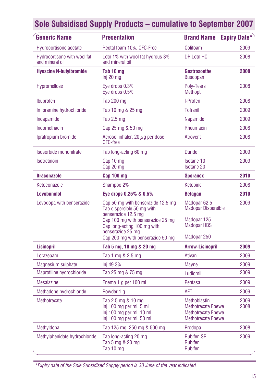| <b>Generic Name</b>                             | <b>Presentation</b>                                                                                                                                         | <b>Brand Name</b>                                                                                   | <b>Expiry Date*</b> |
|-------------------------------------------------|-------------------------------------------------------------------------------------------------------------------------------------------------------------|-----------------------------------------------------------------------------------------------------|---------------------|
| <b>Hydrocortisone acetate</b>                   | Rectal foam 10%, CFC-Free                                                                                                                                   | Colifoam                                                                                            | 2009                |
| Hydrocortisone with wool fat<br>and mineral oil | Lotn 1% with wool fat hydrous 3%<br>and mineral oil                                                                                                         | DP Lotn HC                                                                                          | 2008                |
| <b>Hyoscine N-butylbromide</b>                  | Tab 10 mg<br>Inj 20 mg                                                                                                                                      | <b>Gastrosoothe</b><br><b>Buscopan</b>                                                              | 2008                |
| Hypromellose                                    | Eye drops 0.3%<br>Eye drops 0.5%                                                                                                                            | Poly-Tears<br>Methopt                                                                               | 2008                |
| Ibuprofen                                       | Tab 200 mg                                                                                                                                                  | I-Profen                                                                                            | 2008                |
| Imipramine hydrochloride                        | Tab 10 mg & 25 mg                                                                                                                                           | <b>Tofranil</b>                                                                                     | 2009                |
| Indapamide                                      | Tab $2.5$ mg                                                                                                                                                | Napamide                                                                                            | 2009                |
| Indomethacin                                    | Cap 25 mg & 50 mg                                                                                                                                           | Rheumacin                                                                                           | 2008                |
| Ipratropium bromide                             | Aerosol inhaler, 20 $\mu$ g per dose<br><b>CFC-free</b>                                                                                                     | Atrovent                                                                                            | 2008                |
| Isosorbide mononitrate                          | Tab long-acting 60 mg                                                                                                                                       | <b>Duride</b>                                                                                       | 2009                |
| Isotretinoin                                    | Cap 10 mg<br>Cap 20 mg                                                                                                                                      | Isotane 10<br><b>Isotane 20</b>                                                                     | 2009                |
| <b>Itraconazole</b>                             | Cap 100 mg                                                                                                                                                  | <b>Sporanox</b>                                                                                     | 2010                |
| Ketoconazole                                    | Shampoo 2%                                                                                                                                                  | Ketopine                                                                                            | 2008                |
| Levobunolol                                     | Eye drops 0.25% & 0.5%                                                                                                                                      | <b>Betagan</b>                                                                                      | 2010                |
| Levodopa with benserazide                       | Cap 50 mg with benserazide 12.5 mg<br>Tab dispersible 50 mg with<br>benserazide 12.5 mg<br>Cap 100 mg with benserazide 25 mg<br>Cap long-acting 100 mg with | Madopar 62.5<br><b>Madopar Dispersible</b><br>Madopar 125<br><b>Madopar HBS</b>                     | 2009                |
|                                                 | benserazide 25 mg<br>Cap 200 mg with benserazide 50 mg                                                                                                      | Madopar 250                                                                                         |                     |
| <b>Lisinopril</b>                               | Tab 5 mg, 10 mg & 20 mg                                                                                                                                     | <b>Arrow-Lisinopril</b>                                                                             | 2009                |
| Lorazepam                                       | Tab 1 mg & 2.5 mg                                                                                                                                           | Ativan                                                                                              | 2009                |
| Magnesium sulphate                              | Inj 49.3%                                                                                                                                                   | Mayne                                                                                               | 2009                |
| Maprotiline hydrochloride                       | Tab 25 mg & 75 mg                                                                                                                                           | Ludiomil                                                                                            | 2009                |
| <b>Mesalazine</b>                               | Enema 1 g per 100 ml                                                                                                                                        | Pentasa                                                                                             | 2009                |
| Methadone hydrochloride                         | Powder 1 g                                                                                                                                                  | AFT                                                                                                 | 2009                |
| Methotrexate                                    | Tab 2.5 mg & 10 mg<br>Inj 100 mg per ml, 5 ml<br>Inj 100 mg per ml, 10 ml<br>Inj 100 mg per ml, 50 ml                                                       | Methoblastin<br><b>Methotrexate Ebewe</b><br><b>Methotrexate Ebewe</b><br><b>Methotrexate Ebewe</b> | 2009<br>2008        |
| Methyldopa                                      | Tab 125 mg, 250 mg & 500 mg                                                                                                                                 | Prodopa                                                                                             | 2008                |
| Methylphenidate hydrochloride                   | Tab long-acting 20 mg<br>Tab 5 mg & 20 mg<br>Tab 10 mg                                                                                                      | <b>Rubifen SR</b><br><b>Rubifen</b><br><b>Rubifen</b>                                               | 2009                |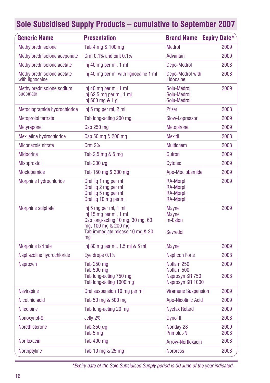| Sole Subsidised Supply Products - cumulative to September 2007 |  |  |
|----------------------------------------------------------------|--|--|
|----------------------------------------------------------------|--|--|

| <b>Generic Name</b>                           | <b>Presentation</b>                                                                                                                                  | <b>Brand Name Expiry Date*</b>                                    |              |
|-----------------------------------------------|------------------------------------------------------------------------------------------------------------------------------------------------------|-------------------------------------------------------------------|--------------|
| Methylprednisolone                            | Tab 4 mg & 100 mg                                                                                                                                    | <b>Medrol</b>                                                     | 2009         |
| Methylprednisolone aceponate                  | Crm 0.1% and oint 0.1%                                                                                                                               | Advantan                                                          | 2009         |
| Methylprednisolone acetate                    | Inj 40 mg per ml, 1 ml                                                                                                                               | Depo-Medrol                                                       | 2008         |
| Methylprednisolone acetate<br>with lignocaine | Inj 40 mg per ml with lignocaine 1 ml                                                                                                                | Depo-Medrol with<br>Lidocaine                                     | 2008         |
| Methylprednisolone sodium<br>succinate        | Inj 40 mg per ml, 1 ml<br>$Inj$ 62.5 mg per ml, 1 ml<br>Inj 500 mg 8.1 g                                                                             | Solu-Medrol<br>Solu-Medrol<br>Solu-Medrol                         | 2009         |
| Metoclopramide hydrochloride                  | Inj 5 mg per ml, 2 ml                                                                                                                                | Pfizer                                                            | 2008         |
| Metoprolol tartrate                           | Tab long-acting 200 mg                                                                                                                               | Slow-Lopressor                                                    | 2009         |
| <b>Metyrapone</b>                             | Cap 250 mg                                                                                                                                           | <b>Metopirone</b>                                                 | 2009         |
| Mexiletine hydrochloride                      | Cap 50 mg & 200 mg                                                                                                                                   | <b>Mexitil</b>                                                    | 2008         |
| Miconazole nitrate                            | Crm 2%                                                                                                                                               | <b>Multichem</b>                                                  | 2008         |
| <b>Midodrine</b>                              | Tab 2.5 mg & 5 mg                                                                                                                                    | Gutron                                                            | 2009         |
| <b>Misoprostol</b>                            | Tab 200 $\mu$ g                                                                                                                                      | Cytotec                                                           | 2009         |
| Moclobemide                                   | Tab 150 mg & 300 mg                                                                                                                                  | Apo-Moclobemide                                                   | 2009         |
| Morphine hydrochloride                        | Oral lig 1 mg per ml<br>Oral lig 2 mg per ml<br>Oral lig 5 mg per ml<br>Oral lig 10 mg per ml                                                        | RA-Morph<br><b>RA-Morph</b><br><b>RA-Morph</b><br><b>RA-Morph</b> | 2009         |
| Morphine sulphate                             | Inj 5 mg per ml, 1 ml<br>Inj 15 mg per ml, 1 ml<br>Cap long-acting 10 mg, 30 mg, 60<br>mg, 100 mg & 200 mg<br>Tab immediate release 10 mg & 20<br>mq | Mayne<br>Mayne<br>m-Eslon<br>Sevredol                             | 2009         |
| Morphine tartrate                             | lnj 80 mg per ml, 1.5 ml & 5 ml                                                                                                                      | <b>Mayne</b>                                                      | 2009         |
| Naphazoline hydrochloride                     | Eye drops 0.1%                                                                                                                                       | <b>Naphcon Forte</b>                                              | 2008         |
| Naproxen                                      | Tab 250 mg<br>Tab 500 mg<br>Tab long-acting 750 mg<br>Tab long-acting 1000 mg                                                                        | Noflam 250<br>Noflam 500<br>Naprosyn SR 750<br>Naprosyn SR 1000   | 2009<br>2008 |
| <b>Nevirapine</b>                             | Oral suspension 10 mg per ml                                                                                                                         | <b>Viramune Suspension</b>                                        | 2009         |
| Nicotinic acid                                | Tab 50 mg & 500 mg                                                                                                                                   | Apo-Nicotinic Acid                                                | 2009         |
| <b>Nifedipine</b>                             | Tab long-acting 20 mg                                                                                                                                | <b>Nyefax Retard</b>                                              | 2009         |
| Nonoxynol-9                                   | Jelly 2%                                                                                                                                             | Gynol II                                                          | 2008         |
| Norethisterone                                | Tab 350 $\mu$ g<br>Tab 5 mg                                                                                                                          | Noriday 28<br>Primolut-N                                          | 2009<br>2008 |
| Norfloxacin                                   | Tab $400$ mg                                                                                                                                         | Arrow-Norfloxacin                                                 | 2008         |
| Nortriptyline                                 | Tab 10 mg & 25 mg                                                                                                                                    | <b>Norpress</b>                                                   | 2008         |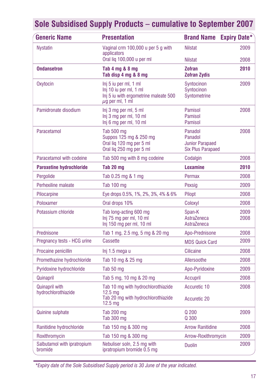| <b>Generic Name</b>                          | <b>Presentation</b>                                                                                                  | <b>Brand Name</b>                                                        | <b>Expiry Date*</b> |
|----------------------------------------------|----------------------------------------------------------------------------------------------------------------------|--------------------------------------------------------------------------|---------------------|
| <b>Nystatin</b>                              | Vaginal crm 100,000 u per 5 g with<br>applicators                                                                    | <b>Nilstat</b>                                                           | 2009                |
|                                              | Oral lig 100,000 u per ml                                                                                            | <b>Nilstat</b>                                                           | 2008                |
| <b>Ondansetron</b>                           | Tab 4 mg & 8 mg<br>Tab disp 4 mg & 8 mg                                                                              | <b>Zofran</b><br><b>Zofran Zydis</b>                                     | 2010                |
| Oxytocin                                     | Inj 5 iu per ml, 1 ml<br>Inj 10 iu per ml, 1 ml<br>Inj 5 iu with ergometrine maleate 500<br>$\mu$ g per ml, 1 ml     | Syntocinon<br>Syntocinon<br>Syntometrine                                 | 2009                |
| Pamidronate disodium                         | Inj 3 mg per ml, 5 ml<br>Inj 3 mg per ml, 10 ml<br>Inj 6 mg per ml, 10 ml                                            | Pamisol<br>Pamisol<br>Pamisol                                            | 2008                |
| Paracetamol                                  | Tab 500 mg<br>Suppos 125 mg & 250 mg<br>Oral lig 120 mg per 5 ml<br>Oral lig 250 mg per 5 ml                         | Panadol<br>Panadol<br><b>Junior Parapaed</b><br><b>Six Plus Parapaed</b> | 2008                |
| Paracetamol with codeine                     | Tab 500 mg with 8 mg codeine                                                                                         | Codalgin                                                                 | 2008                |
| <b>Paroxetine hydrochloride</b>              | Tab 20 ma                                                                                                            | Loxamine                                                                 | 2010                |
| Pergolide                                    | Tab 0.25 mg & 1 mg                                                                                                   | Permax                                                                   | 2008                |
| Perhexiline maleate                          | Tab 100 mg                                                                                                           | Pexsig                                                                   | 2009                |
| Pilocarpine                                  | Eye drops 0.5%, 1%, 2%, 3%, 4% & 6%                                                                                  | Pilopt                                                                   | 2008                |
| Poloxamer                                    | Oral drops 10%                                                                                                       | Coloxyl                                                                  | 2008                |
| Potassium chloride                           | Tab long-acting 600 mg<br>Inj 75 mg per ml, 10 ml<br>Inj 150 mg per ml, 10 ml                                        | Span-K<br>AstraZeneca<br>AstraZeneca                                     | 2009<br>2008        |
| Prednisone                                   | Tab 1 mg, 2.5 mg, 5 mg & 20 mg                                                                                       | Apo-Prednisone                                                           | 2008                |
| Pregnancy tests - HCG urine                  | Cassette                                                                                                             | <b>MDS Quick Card</b>                                                    | 2009                |
| Procaine penicillin                          | Inj 1.5 mega u                                                                                                       | Cilicaine                                                                | 2008                |
| Promethazine hydrochloride                   | Tab 10 mg & 25 mg                                                                                                    | Allersoothe                                                              | 2008                |
| Pyridoxine hydrochloride                     | Tab 50 mg                                                                                                            | Apo-Pyridoxine                                                           | 2009                |
| Quinapril                                    | Tab 5 mg, 10 mg & 20 mg                                                                                              | Accupril                                                                 | 2008                |
| <b>Quinapril with</b><br>hydrochlorothiazide | Tab 10 mg with hydrochlorothiazide<br>12.5 <sub>ma</sub><br>Tab 20 mg with hydrochlorothiazide<br>12.5 <sub>mg</sub> | Accuretic 10<br>Accuretic 20                                             | 2008                |
| Quinine sulphate                             | Tab 200 mg<br>Tab 300 mg                                                                                             | Q200<br>Q 300                                                            | 2009                |
| Ranitidine hydrochloride                     | Tab 150 mg & 300 mg                                                                                                  | <b>Arrow Ranitidine</b>                                                  | 2008                |
| Roxithromycin                                | Tab 150 mg & 300 mg                                                                                                  | Arrow-Roxithromycin                                                      | 2009                |
| Salbutamol with ipratropium<br>bromide       | Nebuliser soln, 2.5 mg with<br>ipratropium bromide 0.5 mg                                                            | <b>Duolin</b>                                                            | 2009                |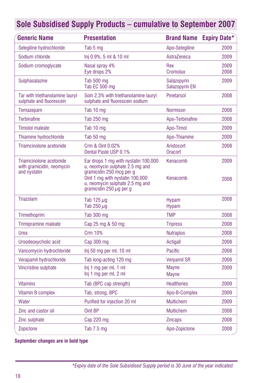| <b>Generic Name</b>                                                  | <b>Presentation</b>                                                                                                                                                                                       | <b>Brand Name</b>             | <b>Expiry Date*</b> |
|----------------------------------------------------------------------|-----------------------------------------------------------------------------------------------------------------------------------------------------------------------------------------------------------|-------------------------------|---------------------|
| Selegiline hydrochloride                                             | Tab 5 mg                                                                                                                                                                                                  | Apo-Selegiline                | 2009                |
| Sodium chloride                                                      | Inj 0.9%, 5 ml & 10 ml                                                                                                                                                                                    | AstraZeneca                   | 2009                |
| Sodium cromoglycate                                                  | Nasal spray 4%<br>Eye drops 2%                                                                                                                                                                            | Rex<br>Cromolux               | 2009<br>2008        |
| Sulphasalazine                                                       | Tab 500 mg<br>Tab EC 500 mg                                                                                                                                                                               | Salazopyrin<br>Salazopyrin EN | 2009                |
| Tar with triethanolamine lauryl<br>sulphate and fluorescein          | Soln 2.3% with triethanolamine lauryl<br>sulphate and fluorescein sodium                                                                                                                                  | Pinetarsol                    | 2008                |
| Temazepam                                                            | Tab 10 mg                                                                                                                                                                                                 | <b>Normison</b>               | 2008                |
| <b>Terbinafine</b>                                                   | Tab 250 mg                                                                                                                                                                                                | Apo-Terbinafine               | 2008                |
| <b>Timolol maleate</b>                                               | Tab 10 mg                                                                                                                                                                                                 | Apo-Timol                     | 2009                |
| Thiamine hydrochloride                                               | Tab 50 mg                                                                                                                                                                                                 | Apo-Thiamine                  | 2009                |
| Triamcinolone acetonide                                              | Crm & Oint 0.02%<br>Dental Paste USP 0.1%                                                                                                                                                                 | Aristocort<br>Oracort         | 2008                |
| Triamcinolone acetonide<br>with gramicidin, neomycin<br>and nystatin | Ear drops 1 mg with nystatin 100,000<br>u, neomycin sulphate 2.5 mg and<br>gramicidin 250 mcg per g<br>Oint 1 mg with nystatin 100,000<br>u, neomycin sulphate 2.5 mg and<br>gramicidin 250 $\mu$ g per g | Kenacomb<br>Kenacomb          | 2009<br>2008        |
| <b>Triazolam</b>                                                     | Tab 125 $\mu$ g<br>Tab 250 $\mu$ g                                                                                                                                                                        | <b>Hypam</b><br>Hypam         | 2008                |
| Trimethoprim                                                         | Tab 300 mg                                                                                                                                                                                                | <b>TMP</b>                    | 2008                |
| Trimipramine maleate                                                 | Cap 25 mg & 50 mg                                                                                                                                                                                         | <b>Tripress</b>               | 2008                |
| Urea                                                                 | <b>Crm 10%</b>                                                                                                                                                                                            | <b>Nutraplus</b>              | 2008                |
| Ursodeoxycholic acid                                                 | Cap 300 mg                                                                                                                                                                                                | Actigall                      | 2008                |
| Vancomycin hydrochloride                                             | Inj 50 mg per ml, 10 ml                                                                                                                                                                                   | Pacific                       | 2008                |
| Verapamil hydrochloride                                              | Tab long-acting 120 mg                                                                                                                                                                                    | <b>Verpamil SR</b>            | 2008                |
| Vincristine sulphate                                                 | Inj 1 mg per ml, 1 ml<br>Inj 1 mg per ml, 2 ml                                                                                                                                                            | <b>Mayne</b><br><b>Mayne</b>  | 2009                |
| <b>Vitamins</b>                                                      | Tab (BPC cap strength)                                                                                                                                                                                    | <b>Healtheries</b>            | 2009                |
| Vitamin B complex                                                    | Tab, strong, BPC                                                                                                                                                                                          | Apo-B-Complex                 | 2009                |
| Water                                                                | Purified for injection 20 ml                                                                                                                                                                              | <b>Multichem</b>              | 2009                |
| Zinc and castor oil                                                  | Oint BP                                                                                                                                                                                                   | <b>Multichem</b>              | 2008                |
| Zinc sulphate                                                        | $Cap$ 220 mg                                                                                                                                                                                              | <b>Zincaps</b>                | 2008                |
| <b>Zopiclone</b>                                                     | Tab $7.5 \text{ mg}$                                                                                                                                                                                      | Apo-Zopiclone                 | 2008                |

**September changes are in bold type**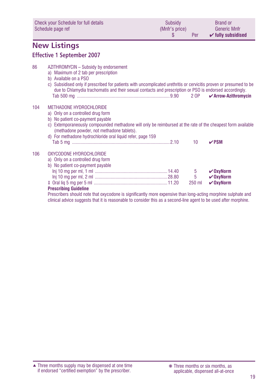<span id="page-18-0"></span>

|     | Check your Schedule for full details<br>Schedule page ref                                                                                                                                                                                                                                                                               | Subsidy<br>(Mnfr's price)<br>\$ | Per              | <b>Brand or</b><br><b>Generic Mnfr</b><br>$\checkmark$ fully subsidised |
|-----|-----------------------------------------------------------------------------------------------------------------------------------------------------------------------------------------------------------------------------------------------------------------------------------------------------------------------------------------|---------------------------------|------------------|-------------------------------------------------------------------------|
|     | <b>New Listings</b>                                                                                                                                                                                                                                                                                                                     |                                 |                  |                                                                         |
|     | <b>Effective 1 September 2007</b>                                                                                                                                                                                                                                                                                                       |                                 |                  |                                                                         |
| 86  | AZITHROMYCIN - Subsidy by endorsement<br>a) Maximum of 2 tab per prescription<br>b) Available on a PSO<br>c) Subsidised only if prescribed for patients with uncomplicated urethritis or cervicitis proven or presumed to be<br>due to Chlamydia trachomatis and their sexual contacts and prescription or PSO is endorsed accordingly. |                                 |                  | $\boldsymbol{\checkmark}$ Arrow-Azithromycin                            |
| 104 | METHADONE HYDROCHLORIDE<br>a) Only on a controlled drug form<br>b) No patient co-payment payable<br>c) Extemporaneously compounded methadone will only be reimbursed at the rate of the cheapest form available<br>(methadone powder, not methadone tablets).<br>d) For methadone hydrochloride oral liquid refer, page 159             |                                 | 10               | VPSM                                                                    |
| 106 | OXYCODONE HYDROCHLORIDE<br>a) Only on a controlled drug form<br>b) No patient co-payment payable<br><b>Prescribing Guideline</b>                                                                                                                                                                                                        |                                 | 5<br>5<br>250 ml | $\vee$ OxyNorm<br>$V$ OxyNorm<br>$V$ OxyNorm                            |

Prescribers should note that oxycodone is significantly more expensive than long-acting morphine sulphate and clinical advice suggests that it is reasonable to consider this as a second-line agent to be used after morphine.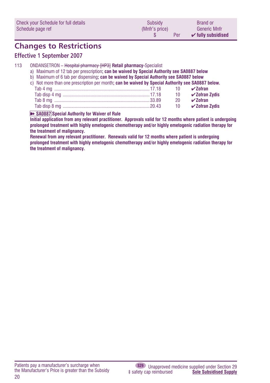<span id="page-19-0"></span>

| Check your Schedule for full details | Subsidy        | <b>Brand or</b>               |
|--------------------------------------|----------------|-------------------------------|
| Schedule page ref                    | (Mnfr's price) | <b>Generic Mnfr</b>           |
|                                      | Per            | $\checkmark$ fully subsidised |

### **Changes to Restrictions**

#### **Effective 1 September 2007**

- 113 ONDANSETRON Hospital pharmacy [HP3] **Retail pharmacy-**Specialist
	- a) Maximum of 12 tab per prescription**; can be waived by Special Authority see SA0887 below**
	- b) Maximum of 6 tab per dispensing**; can be waived by Special Authority see SA0887 below**
	- c) Not more than one prescription per month**; can be waived by Special Authority see SA0887 below.**

|  | 10 $\sqrt{2}$ Ofran Zydis |
|--|---------------------------|
|  | 20 $\sqrt{2}$ ofran       |
|  |                           |

#### **EXAGARY Special Authority for Waiver of Rule**

**Initial application from any relevant practitioner. Approvals valid for 12 months where patient is undergoing prolonged treatment with highly emetogenic chemotherapy and/or highly emetogenic radiation therapy for the treatment of malignancy.**

**Renewal from any relevant practitioner. Renewals valid for 12 months where patient is undergoing prolonged treatment with highly emetogenic chemotherapy and/or highly emetogenic radiation therapy for the treatment of malignancy.**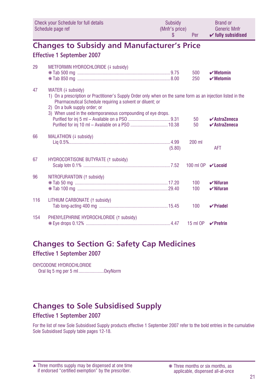<span id="page-20-0"></span>

|     | Check your Schedule for full details<br>Schedule page ref                                                                                                                                                                                                                                        | Subsidy<br>(Mnfr's price)<br>\$ | Per                       | <b>Brand or</b><br><b>Generic Mnfr</b><br>$\checkmark$ fully subsidised        |
|-----|--------------------------------------------------------------------------------------------------------------------------------------------------------------------------------------------------------------------------------------------------------------------------------------------------|---------------------------------|---------------------------|--------------------------------------------------------------------------------|
|     | <b>Changes to Subsidy and Manufacturer's Price</b>                                                                                                                                                                                                                                               |                                 |                           |                                                                                |
|     | <b>Effective 1 September 2007</b>                                                                                                                                                                                                                                                                |                                 |                           |                                                                                |
| 29  | METFORMIN HYDROCHLORIDE (4 subsidy)                                                                                                                                                                                                                                                              |                                 | 500<br>250                | $\boldsymbol{\nu}$ Metomin<br>$\boldsymbol{\checkmark}$ Metomin                |
| 47  | WATER (4 subsidy)<br>1) On a prescription or Practitioner's Supply Order only when on the same form as an injection listed in the<br>Pharmaceutical Schedule requiring a solvent or diluent; or<br>2) On a bulk supply order; or<br>3) When used in the extemporaneous compounding of eye drops. |                                 | 50<br>50                  | $\boldsymbol{\checkmark}$ AstraZeneca<br>$\boldsymbol{\checkmark}$ AstraZeneca |
| 66  | MALATHION (+ subsidy)                                                                                                                                                                                                                                                                            | (5.80)                          | 200 ml                    | AFT                                                                            |
| 67  | HYDROCORTISONE BUTYRATE (1 subsidy)                                                                                                                                                                                                                                                              |                                 | 100 ml OP <b>∠ Locoid</b> |                                                                                |
| 96  | NITROFURANTOIN (1 subsidy)                                                                                                                                                                                                                                                                       |                                 | 100<br>100                | $\boldsymbol{\nu}$ Nifuran<br>$\checkmark$ Nifuran                             |
| 116 | LITHIUM CARBONATE (1 subsidy)                                                                                                                                                                                                                                                                    |                                 | 100                       | $\vee$ Priadel                                                                 |
| 154 | PHENYLEPHRINE HYDROCHLORIDE (1 subsidy)                                                                                                                                                                                                                                                          |                                 | 15 ml OP                  | $\vee$ Prefrin                                                                 |

#### **Changes to Section G: Safety Cap Medicines**

**Effective 1 September 2007**

OXYCODONE HYDROCHLORIDE Oral liq 5 mg per 5 ml.....................OxyNorm

### **Changes to Sole Subsidised Supply**

#### **Effective 1 September 2007**

For the list of new Sole Subsidised Supply products effective 1 September 2007 refer to the bold entries in the cumulative Sole Subsidised Supply table pages 12-18.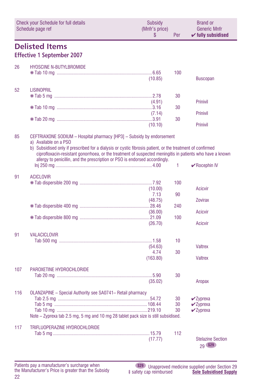<span id="page-21-0"></span>

| <b>Check your Schedule for full details</b><br>Schedule page ref |                                                                                                                                                                                                                                                                                                                                                                                                         | <b>Subsidv</b><br>(Mnfr's price)<br>S | Per            | <b>Brand or</b><br><b>Generic Mnfr</b><br>$\checkmark$ fully subsidised |
|------------------------------------------------------------------|---------------------------------------------------------------------------------------------------------------------------------------------------------------------------------------------------------------------------------------------------------------------------------------------------------------------------------------------------------------------------------------------------------|---------------------------------------|----------------|-------------------------------------------------------------------------|
|                                                                  | <b>Delisted Items</b><br><b>Effective 1 September 2007</b>                                                                                                                                                                                                                                                                                                                                              |                                       |                |                                                                         |
| 26                                                               | <b>HYOSCINE N-BUTYLBROMIDE</b>                                                                                                                                                                                                                                                                                                                                                                          | (10.85)                               | 100            | <b>Buscopan</b>                                                         |
| 52                                                               | <b>LISINOPRIL</b>                                                                                                                                                                                                                                                                                                                                                                                       | (4.91)                                | 30             | Prinivil                                                                |
|                                                                  |                                                                                                                                                                                                                                                                                                                                                                                                         | (7.14)                                | 30             | Prinivil                                                                |
|                                                                  |                                                                                                                                                                                                                                                                                                                                                                                                         | (10.10)                               | 30             | Prinivil                                                                |
| 85                                                               | CEFTRIAXONE SODIUM - Hospital pharmacy [HP3] - Subsidy by endorsement<br>a) Available on a PSO<br>b) Subsidised only if prescribed for a dialysis or cystic fibrosis patient, or the treatment of confirmed<br>ciprofloxacin-resistant gonorrhoea, or the treatment of suspected meningitis in patients who have a known<br>allergy to penicillin, and the prescription or PSO is endorsed accordingly. |                                       |                |                                                                         |
| 91                                                               | <b>ACICLOVIR</b>                                                                                                                                                                                                                                                                                                                                                                                        |                                       | 1              | $\vee$ Rocephin IV                                                      |
|                                                                  |                                                                                                                                                                                                                                                                                                                                                                                                         | (10.00)<br>7.13                       | 100<br>90      | Acicvir                                                                 |
|                                                                  |                                                                                                                                                                                                                                                                                                                                                                                                         | (48.75)                               | 240            | Zovirax<br><b>Acicvir</b>                                               |
|                                                                  |                                                                                                                                                                                                                                                                                                                                                                                                         | (36.00)<br>(26.70)                    | 100            | <b>Acicvir</b>                                                          |
| 91                                                               | <b>VALACICLOVIR</b>                                                                                                                                                                                                                                                                                                                                                                                     |                                       | 10             |                                                                         |
|                                                                  |                                                                                                                                                                                                                                                                                                                                                                                                         | (54.63)<br>4.74<br>(163.80)           | 30             | <b>Valtrex</b><br><b>Valtrex</b>                                        |
| 107                                                              | PAROXETINE HYDROCHLORIDE                                                                                                                                                                                                                                                                                                                                                                                |                                       | 30             |                                                                         |
|                                                                  |                                                                                                                                                                                                                                                                                                                                                                                                         | (35.02)                               |                | Aropax                                                                  |
| 116                                                              | OLANZAPINE - Special Authority see SA0741- Retail pharmacy<br>Note – Zyprexa tab 2.5 mg, 5 mg and 10 mg 28 tablet pack size is still subsidised.                                                                                                                                                                                                                                                        |                                       | 30<br>30<br>30 | $\vee$ Zyprexa<br>$\vee$ Zyprexa<br>$\vee$ Zyprexa                      |
| 117                                                              | TRIFLUOPERAZINE HYDROCHLORIDE                                                                                                                                                                                                                                                                                                                                                                           | (17.77)                               | 112            | <b>Stelazine Section</b><br>29 S29                                      |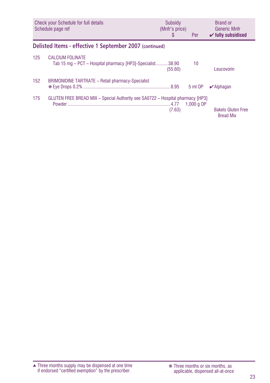<span id="page-22-0"></span>

|     | Check your Schedule for full details<br>Schedule page ref                            | Subsidy<br>(Mnfr's price)<br>S | <b>Per</b>   | <b>Brand or</b><br><b>Generic Mnfr</b><br>$\checkmark$ fully subsidised |
|-----|--------------------------------------------------------------------------------------|--------------------------------|--------------|-------------------------------------------------------------------------|
|     | Delisted Items - effective 1 September 2007 (continued)                              |                                |              |                                                                         |
| 125 | <b>CALCIUM FOLINATE</b><br>Tab 15 mg – PCT – Hospital pharmacy [HP3]-Specialist38.90 | (55.60)                        | 10           | Leucovorin                                                              |
| 152 | <b>BRIMONIDINE TARTRATE - Retail pharmacy-Specialist</b>                             |                                | 5 ml OP      | $\vee$ Alphagan                                                         |
| 175 | GLUTEN FREE BREAD MIX - Special Authority see SA0722 - Hospital pharmacy [HP3]       | (7.63)                         | 1.000 $a$ OP | <b>Bakels Gluten Free</b><br><b>Bread Mix</b>                           |

Three months supply may be dispensed at one time if endorsed "certified exemption" by the prescriber. ▲ ❋ Three months or six months, as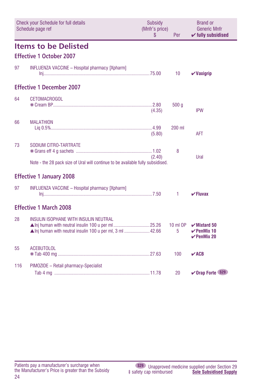<span id="page-23-0"></span>

|     | Check your Schedule for full details<br>Schedule page ref                                                | Subsidy<br>(Mnfr's price)<br>\$ | Per             | <b>Brand or</b><br><b>Generic Mnfr</b><br>$\checkmark$ fully subsidised     |
|-----|----------------------------------------------------------------------------------------------------------|---------------------------------|-----------------|-----------------------------------------------------------------------------|
|     | <b>Items to be Delisted</b>                                                                              |                                 |                 |                                                                             |
|     | <b>Effective 1 October 2007</b>                                                                          |                                 |                 |                                                                             |
| 97  | INFLUENZA VACCINE - Hospital pharmacy [Xpharm]                                                           |                                 | 10 <sup>°</sup> | $\boldsymbol{\nu}$ Vaxigrip                                                 |
|     | <b>Effective 1 December 2007</b>                                                                         |                                 |                 |                                                                             |
| 64  | <b>CETOMACROGOL</b>                                                                                      | (4.35)                          | 500q            | <b>IPW</b>                                                                  |
| 66  | <b>MALATHION</b>                                                                                         | (5.80)                          | 200 ml          | <b>AFT</b>                                                                  |
| 73  | SODIUM CITRO-TARTRATE<br>Note - the 28 pack size of Ural will continue to be available fully subsidised. | (2.40)                          | 8               | Ural                                                                        |
|     | <b>Effective 1 January 2008</b>                                                                          |                                 |                 |                                                                             |
| 97  | <b>INFLUENZA VACCINE - Hospital pharmacy [Xpharm]</b><br>$\ln$ i                                         |                                 | 1               | $\checkmark$ Fluvax                                                         |
|     | <b>Effective 1 March 2008</b>                                                                            |                                 |                 |                                                                             |
| 28  | INSULIN ISOPHANE WITH INSULIN NEUTRAL<br>▲ Inj human with neutral insulin 100 u per ml, 3 ml 42.66       |                                 | 10 ml OP<br>5   | $\mathbf{v}$ Mixtard 50<br>$\checkmark$ PenMix 10<br>$\checkmark$ PenMix 20 |
| 55  | <b>ACEBUTOLOL</b>                                                                                        |                                 | 100             | $\sqrt{ACB}$                                                                |
| 116 | PIMOZIDE - Retail pharmacy-Specialist                                                                    |                                 | 20              | ✔ Orap Forte (S29)                                                          |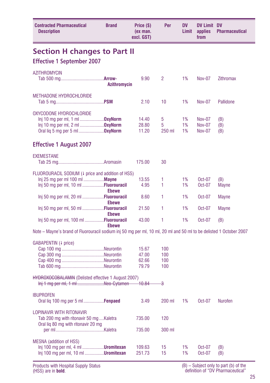<span id="page-24-0"></span>

| <b>Contracted Pharmaceutical</b><br><b>Description</b>                                                                                   | <b>Brand</b>                 | Price (\$)<br>(ex man.<br>excl. GST) | Per                      | DV<br>Limit    | <b>DV Limit DV</b><br>applies<br>from    | <b>Pharmaceutical</b> |
|------------------------------------------------------------------------------------------------------------------------------------------|------------------------------|--------------------------------------|--------------------------|----------------|------------------------------------------|-----------------------|
| <b>Section H changes to Part II</b>                                                                                                      |                              |                                      |                          |                |                                          |                       |
| <b>Effective 1 September 2007</b>                                                                                                        |                              |                                      |                          |                |                                          |                       |
| AZITHROMYCIN                                                                                                                             | Azithromycin                 | 9.90                                 | 2                        | 1%             | Nov-07                                   | <b>Zithromax</b>      |
| <b>METHADONE HYDROCHLORIDE</b>                                                                                                           |                              | 2.10                                 | 10                       | 1%             | <b>Nov-07</b>                            | Pallidone             |
| OXYCODONE HYDROCHLORIDE<br>lnj 10 mg per ml, 1 ml <b>OxyNorm</b><br>Oral lig 5 mg per 5 ml <b>OxyNorm</b>                                |                              | 14.40<br>28.80<br>11.20              | 5<br>5<br>250 ml         | 1%<br>1%<br>1% | Nov-07<br><b>Nov-07</b><br><b>Nov-07</b> | (B)<br>(B)<br>(B)     |
| <b>Effective 1 August 2007</b>                                                                                                           |                              |                                      |                          |                |                                          |                       |
| <b>EXEMESTANE</b>                                                                                                                        |                              | 175.00                               | 30                       |                |                                          |                       |
| FLUOROURACIL SODIUM (4 price and addition of HSS)<br>lnj 25 mg per ml 100 ml <b>Mayne</b><br>lnj 50 mg per ml, 10 ml <b>Fluorouracil</b> |                              | 13.55<br>4.95                        | 1<br>1                   | 1%<br>1%       | $Oct-07$<br>Oct-07                       | (B)<br>Mayne          |
| Inj 50 mg per ml, 20 ml Fluorouracil                                                                                                     | <b>Ebewe</b>                 | 8.60                                 | 1                        | 1%             | Oct-07                                   | Mayne                 |
| Inj 50 mg per ml, 50 ml Fluorouracil                                                                                                     | <b>Ebewe</b><br><b>Ebewe</b> | 21.50                                | 1                        | 1%             | Oct-07                                   | Mayne                 |
| Inj 50 mg per ml, 100 ml Fluorouracil                                                                                                    | <b>Ebewe</b>                 | 43.00                                | 1                        | 1%             | Oct-07                                   | (B)                   |
| Note – Mayne's brand of Fluorouracil sodium inj 50 mg per ml, 10 ml, 20 ml and 50 ml to be delisted 1 October 2007                       |                              |                                      |                          |                |                                          |                       |
| GABAPENTIN (4 price)                                                                                                                     |                              | 15.67<br>47.00<br>62.66<br>79.79     | 100<br>100<br>100<br>100 |                |                                          |                       |
| <b>HYDROXOCOBALAMIN</b> (Delisted effective 1 August 2007)<br>Inj 1 mg per ml, 1 ml Neo-Cytamen                                          |                              | <del>10.84</del>                     | 공                        |                |                                          |                       |
| <b>IBUPROFEN</b><br>Oral lig 100 mg per 5 ml <b>Fenpaed</b>                                                                              |                              | 3.49                                 | 200 ml                   | 1%             | Oct-07                                   | Nurofen               |
| LOPINAVIR WITH RITONAVIR<br>Tab 200 mg with ritonavir 50 mgKaletra<br>Oral lig 80 mg with ritonavir 20 mg                                |                              | 735.00                               | 120                      |                |                                          |                       |
|                                                                                                                                          |                              | 735.00                               | 300 ml                   |                |                                          |                       |
| <b>MESNA</b> (addition of HSS)<br>Inj 100 mg per ml, 4 ml <b>Uromitexan</b><br>Inj 100 mg per ml, 10 ml <b>Uromitexan</b>                |                              | 109.63<br>251.73                     | 15<br>15                 | 1%<br>1%       | Oct-07<br>Oct-07                         | (B)<br>(B)            |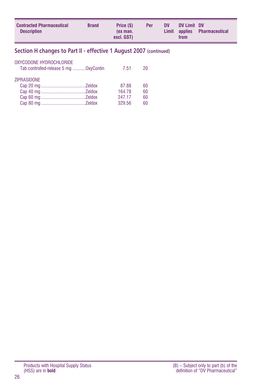<span id="page-25-0"></span>

| <b>Contracted Pharmaceutical</b><br><b>Brand</b><br><b>Description</b> | Price (\$)<br>(ex man.<br>excl. GST) | <b>Per</b> | <b>DV</b> | DV Limit DV<br>from | Limit applies Pharmaceutical |
|------------------------------------------------------------------------|--------------------------------------|------------|-----------|---------------------|------------------------------|
|------------------------------------------------------------------------|--------------------------------------|------------|-----------|---------------------|------------------------------|

#### **Section H changes to Part II - effective 1 August 2007 (continued)**

| OXYCODONE HYDROCHLORIDE<br>Tab controlled-release 5 mg OxyContin | 7.51   | 20 |
|------------------------------------------------------------------|--------|----|
| <b>ZIPRASIDONE</b>                                               |        |    |
|                                                                  | 87.88  | 60 |
|                                                                  | 164.78 | 60 |
|                                                                  | 247.17 | 60 |
|                                                                  | 329.56 | 60 |
|                                                                  |        |    |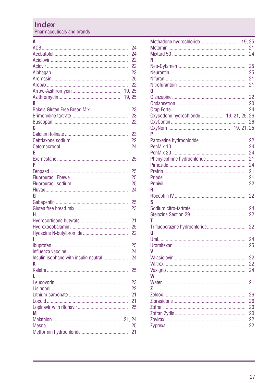### <span id="page-26-0"></span>**Index**

Pharmaceuticals and brands

#### $\overline{\mathsf{A}}$

|                                       | 24       |
|---------------------------------------|----------|
|                                       | 24       |
|                                       | 22       |
|                                       | 22       |
|                                       | 23       |
|                                       | 25       |
|                                       | 22       |
| 19.25                                 |          |
| 19, 25                                |          |
| R                                     |          |
| Bakels Gluten Free Bread Mix          | 23       |
|                                       | 23       |
|                                       | 22       |
| c                                     |          |
|                                       | 23       |
|                                       | 22       |
|                                       | 24       |
| E                                     |          |
|                                       | 25       |
| F                                     |          |
|                                       | 25       |
|                                       | 25       |
|                                       | 25       |
|                                       | 24       |
| G                                     |          |
|                                       | 25       |
|                                       | 23       |
| н                                     |          |
|                                       | 21       |
|                                       | 25       |
|                                       | 22       |
|                                       |          |
|                                       | 25       |
|                                       | 24       |
| Insulin isophane with insulin neutral | 24       |
| K                                     |          |
|                                       | 25       |
|                                       |          |
|                                       | 23       |
|                                       | 22       |
|                                       | 21       |
|                                       | 21       |
|                                       | 25       |
| М                                     |          |
| 21.24                                 |          |
|                                       | 25<br>21 |
|                                       |          |

| Methadone hydrochloride<br>19.25    |                 |
|-------------------------------------|-----------------|
|                                     | 21              |
|                                     | 24              |
| Ν                                   |                 |
|                                     | 25              |
|                                     | 25              |
|                                     | 21              |
|                                     | 21              |
|                                     |                 |
| 0                                   |                 |
|                                     | 22              |
|                                     | 20              |
|                                     | 24              |
| Oxycodone hydrochloride 19, 21, 25, | 26              |
|                                     | 26              |
|                                     |                 |
| Þ                                   |                 |
|                                     | 22              |
|                                     | 24              |
|                                     | 24              |
| Phenylephrine hydrochloride         | 21              |
|                                     | 24              |
|                                     | 21              |
|                                     |                 |
|                                     | 21              |
|                                     | 22              |
| R                                   |                 |
|                                     | 22              |
| S                                   |                 |
|                                     | 24              |
|                                     | 22              |
| Т                                   |                 |
| Trifluoperazine hydrochloride       | 22              |
| u                                   |                 |
|                                     | 24              |
|                                     | 25              |
| V                                   |                 |
|                                     | 22              |
|                                     | 22              |
|                                     |                 |
|                                     | 24              |
| W                                   |                 |
|                                     | 21              |
| Z                                   |                 |
|                                     | 26              |
|                                     | 26              |
|                                     | 20              |
|                                     | 20              |
|                                     | 22              |
| Zургеха…………………………………………………          | $\overline{22}$ |
|                                     |                 |